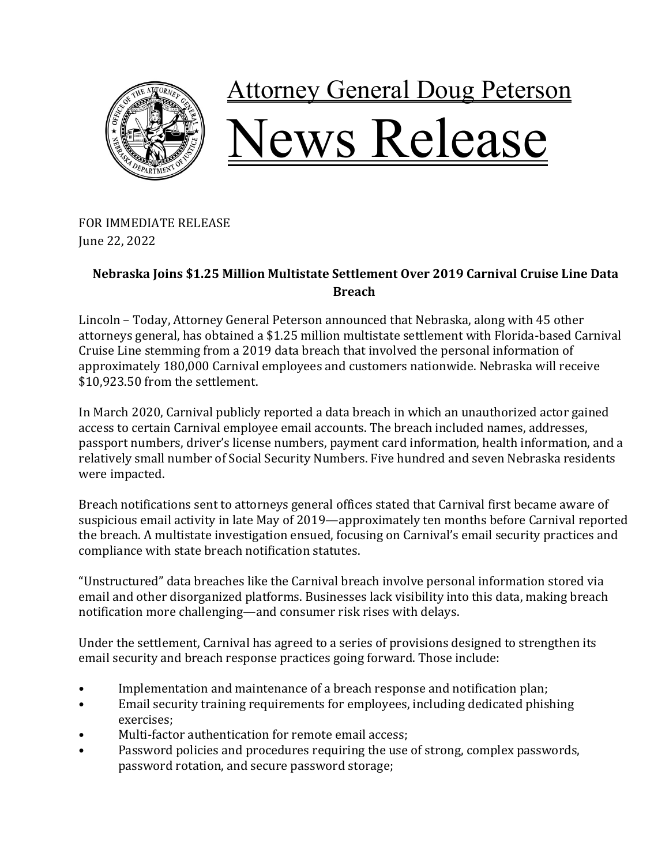

FOR IMMEDIATE RELEASE June 22, 2022

## **Nebraska Joins \$1.25 Million Multistate Settlement Over 2019 Carnival Cruise Line Data Breach**

Lincoln – Today, Attorney General Peterson announced that Nebraska, along with 45 other attorneys general, has obtained a \$1.25 million multistate settlement with Florida-based Carnival Cruise Line stemming from a 2019 data breach that involved the personal information of approximately 180,000 Carnival employees and customers nationwide. Nebraska will receive \$10,923.50 from the settlement.

In March 2020, Carnival publicly reported a data breach in which an unauthorized actor gained access to certain Carnival employee email accounts. The breach included names, addresses, passport numbers, driver's license numbers, payment card information, health information, and a relatively small number of Social Security Numbers. Five hundred and seven Nebraska residents were impacted.

Breach notifications sent to attorneys general offices stated that Carnival first became aware of suspicious email activity in late May of 2019—approximately ten months before Carnival reported the breach. A multistate investigation ensued, focusing on Carnival's email security practices and compliance with state breach notification statutes.

"Unstructured" data breaches like the Carnival breach involve personal information stored via email and other disorganized platforms. Businesses lack visibility into this data, making breach notification more challenging—and consumer risk rises with delays.

Under the settlement, Carnival has agreed to a series of provisions designed to strengthen its email security and breach response practices going forward. Those include:

- Implementation and maintenance of a breach response and notification plan;
- Email security training requirements for employees, including dedicated phishing exercises;
- Multi-factor authentication for remote email access:
- Password policies and procedures requiring the use of strong, complex passwords, password rotation, and secure password storage;